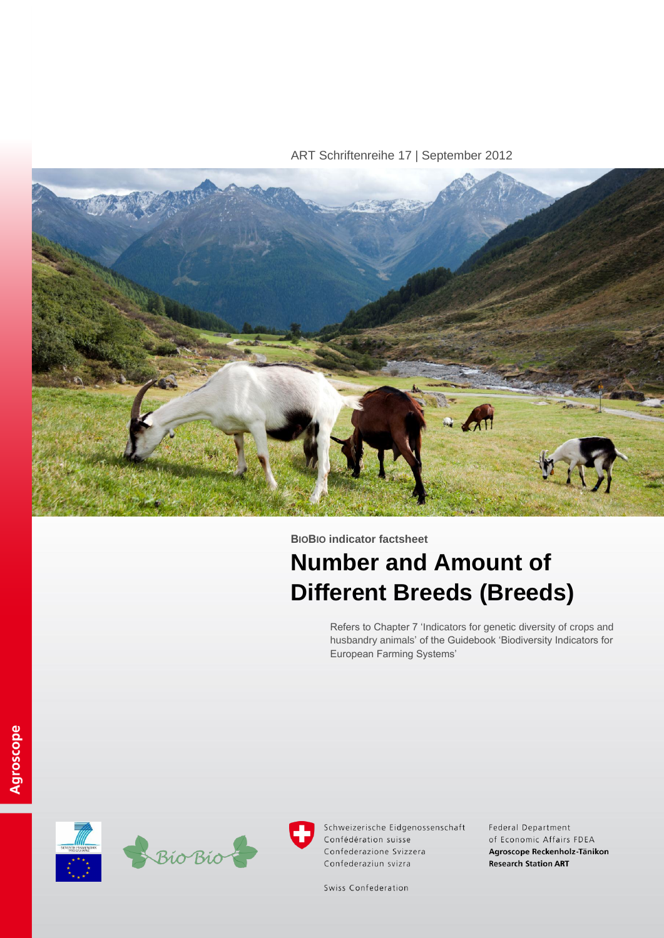ART Schriftenreihe 17 | September 2012



**BIOBIO indicator factsheet**

# **Number and Amount of Different Breeds (Breeds)**

Refers to Chapter 7 'Indicators for genetic diversity of crops and husbandry animals' of the Guidebook 'Biodiversity Indicators for European Farming Systems'





Schweizerische Eidgenossenschaft Confédération suisse Confederazione Svizzera Confederaziun svizra

Federal Department of Economic Affairs FDEA Agroscope Reckenholz-Tänikon **Research Station ART** 

Swiss Confederation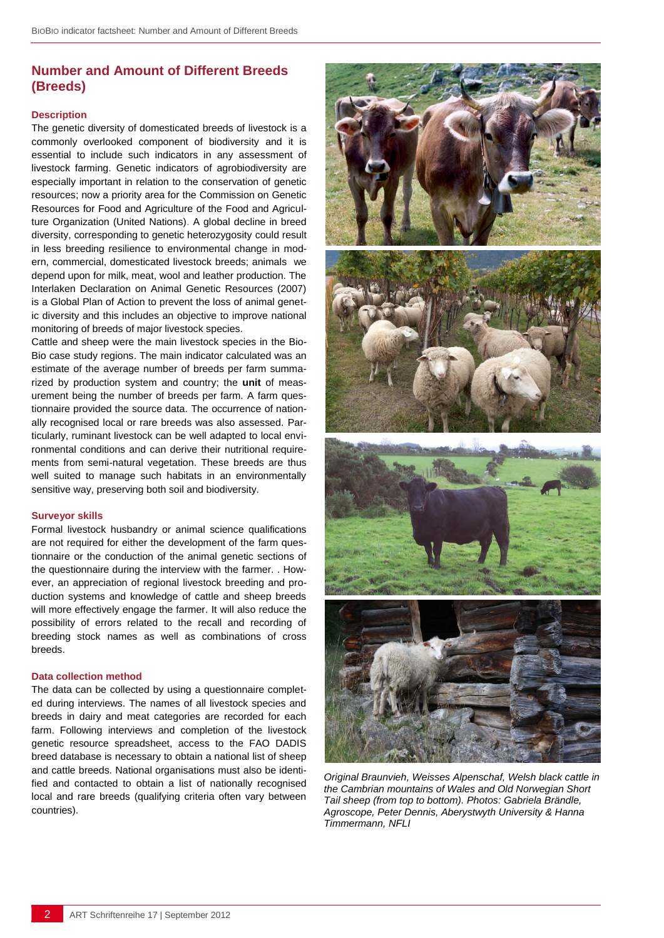# **Number and Amount of Different Breeds (Breeds)**

### **Description**

The genetic diversity of domesticated breeds of livestock is a commonly overlooked component of biodiversity and it is essential to include such indicators in any assessment of livestock farming. Genetic indicators of agrobiodiversity are especially important in relation to the conservation of genetic resources; now a priority area for the Commission on Genetic Resources for Food and Agriculture of the Food and Agriculture Organization (United Nations). A global decline in breed diversity, corresponding to genetic heterozygosity could result in less breeding resilience to environmental change in modern, commercial, domesticated livestock breeds; animals we depend upon for milk, meat, wool and leather production. The Interlaken Declaration on Animal Genetic Resources (2007) is a Global Plan of Action to prevent the loss of animal genetic diversity and this includes an objective to improve national monitoring of breeds of major livestock species.

Cattle and sheep were the main livestock species in the Bio-Bio case study regions. The main indicator calculated was an estimate of the average number of breeds per farm summarized by production system and country; the **unit** of measurement being the number of breeds per farm. A farm questionnaire provided the source data. The occurrence of nationally recognised local or rare breeds was also assessed. Particularly, ruminant livestock can be well adapted to local environmental conditions and can derive their nutritional requirements from semi-natural vegetation. These breeds are thus well suited to manage such habitats in an environmentally sensitive way, preserving both soil and biodiversity.

#### **Surveyor skills**

Formal livestock husbandry or animal science qualifications are not required for either the development of the farm questionnaire or the conduction of the animal genetic sections of the questionnaire during the interview with the farmer. . However, an appreciation of regional livestock breeding and production systems and knowledge of cattle and sheep breeds will more effectively engage the farmer. It will also reduce the possibility of errors related to the recall and recording of breeding stock names as well as combinations of cross breeds.

## **Data collection method**

The data can be collected by using a questionnaire completed during interviews. The names of all livestock species and breeds in dairy and meat categories are recorded for each farm. Following interviews and completion of the livestock genetic resource spreadsheet, access to the FAO DADIS breed database is necessary to obtain a national list of sheep and cattle breeds. National organisations must also be identified and contacted to obtain a list of nationally recognised local and rare breeds (qualifying criteria often vary between countries).



*Original Braunvieh, Weisses Alpenschaf, Welsh black cattle in the Cambrian mountains of Wales and Old Norwegian Short Tail sheep (from top to bottom). Photos: Gabriela Brändle, Agroscope, Peter Dennis, Aberystwyth University & Hanna Timmermann, NFLI*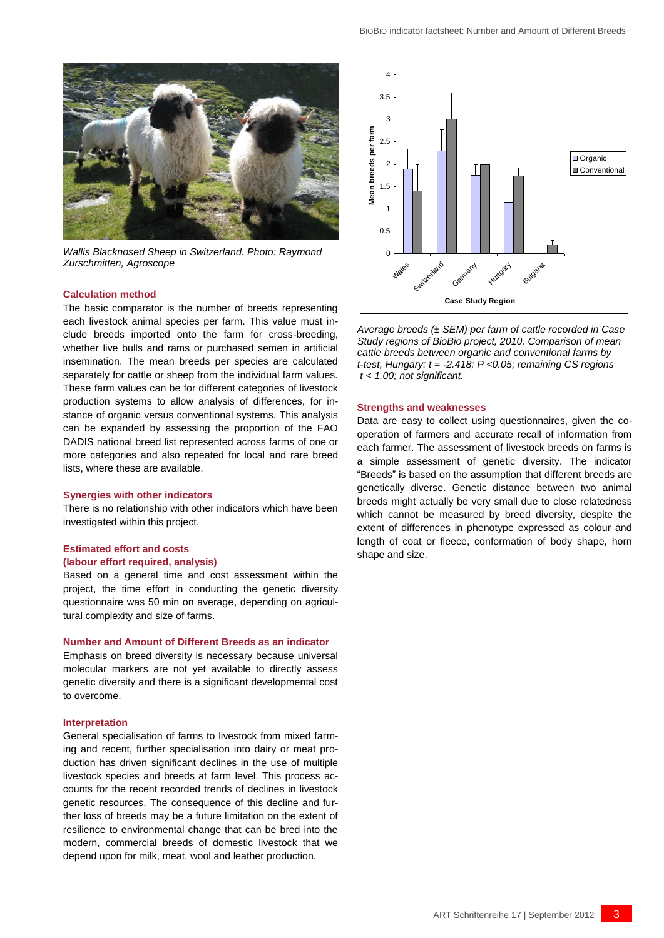

*Wallis Blacknosed Sheep in Switzerland. Photo: Raymond Zurschmitten, Agroscope*

#### **Calculation method**

The basic comparator is the number of breeds representing each livestock animal species per farm. This value must include breeds imported onto the farm for cross-breeding, whether live bulls and rams or purchased semen in artificial insemination. The mean breeds per species are calculated separately for cattle or sheep from the individual farm values. These farm values can be for different categories of livestock production systems to allow analysis of differences, for instance of organic versus conventional systems. This analysis can be expanded by assessing the proportion of the FAO DADIS national breed list represented across farms of one or more categories and also repeated for local and rare breed lists, where these are available.

#### **Synergies with other indicators**

There is no relationship with other indicators which have been investigated within this project.

# **Estimated effort and costs**

## **(labour effort required, analysis)**

Based on a general time and cost assessment within the project, the time effort in conducting the genetic diversity questionnaire was 50 min on average, depending on agricultural complexity and size of farms.

#### **Number and Amount of Different Breeds as an indicator**

Emphasis on breed diversity is necessary because universal molecular markers are not yet available to directly assess genetic diversity and there is a significant developmental cost to overcome.

#### **Interpretation**

General specialisation of farms to livestock from mixed farming and recent, further specialisation into dairy or meat production has driven significant declines in the use of multiple livestock species and breeds at farm level. This process accounts for the recent recorded trends of declines in livestock genetic resources. The consequence of this decline and further loss of breeds may be a future limitation on the extent of resilience to environmental change that can be bred into the modern, commercial breeds of domestic livestock that we depend upon for milk, meat, wool and leather production.



*Average breeds (± SEM) per farm of cattle recorded in Case Study regions of BioBio project, 2010. Comparison of mean cattle breeds between organic and conventional farms by t-test, Hungary: t = -2.418; P <0.05; remaining CS regions t < 1.00; not significant.*

#### **Strengths and weaknesses**

Data are easy to collect using questionnaires, given the cooperation of farmers and accurate recall of information from each farmer. The assessment of livestock breeds on farms is a simple assessment of genetic diversity. The indicator "Breeds" is based on the assumption that different breeds are genetically diverse. Genetic distance between two animal breeds might actually be very small due to close relatedness which cannot be measured by breed diversity, despite the extent of differences in phenotype expressed as colour and length of coat or fleece, conformation of body shape, horn shape and size.